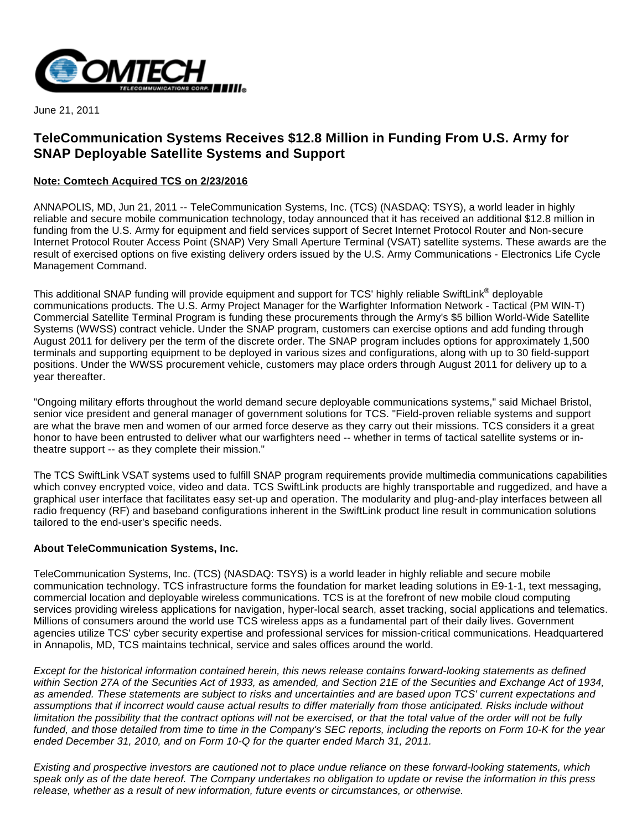

June 21, 2011

## **TeleCommunication Systems Receives \$12.8 Million in Funding From U.S. Army for SNAP Deployable Satellite Systems and Support**

## **Note: Comtech Acquired TCS on 2/23/2016**

ANNAPOLIS, MD, Jun 21, 2011 -- TeleCommunication Systems, Inc. (TCS) (NASDAQ: TSYS), a world leader in highly reliable and secure mobile communication technology, today announced that it has received an additional \$12.8 million in funding from the U.S. Army for equipment and field services support of Secret Internet Protocol Router and Non-secure Internet Protocol Router Access Point (SNAP) Very Small Aperture Terminal (VSAT) satellite systems. These awards are the result of exercised options on five existing delivery orders issued by the U.S. Army Communications - Electronics Life Cycle Management Command.

This additional SNAP funding will provide equipment and support for TCS' highly reliable SwiftLink® deployable communications products. The U.S. Army Project Manager for the Warfighter Information Network - Tactical (PM WIN-T) Commercial Satellite Terminal Program is funding these procurements through the Army's \$5 billion World-Wide Satellite Systems (WWSS) contract vehicle. Under the SNAP program, customers can exercise options and add funding through August 2011 for delivery per the term of the discrete order. The SNAP program includes options for approximately 1,500 terminals and supporting equipment to be deployed in various sizes and configurations, along with up to 30 field-support positions. Under the WWSS procurement vehicle, customers may place orders through August 2011 for delivery up to a year thereafter.

"Ongoing military efforts throughout the world demand secure deployable communications systems," said Michael Bristol, senior vice president and general manager of government solutions for TCS. "Field-proven reliable systems and support are what the brave men and women of our armed force deserve as they carry out their missions. TCS considers it a great honor to have been entrusted to deliver what our warfighters need -- whether in terms of tactical satellite systems or intheatre support -- as they complete their mission."

The TCS SwiftLink VSAT systems used to fulfill SNAP program requirements provide multimedia communications capabilities which convey encrypted voice, video and data. TCS SwiftLink products are highly transportable and ruggedized, and have a graphical user interface that facilitates easy set-up and operation. The modularity and plug-and-play interfaces between all radio frequency (RF) and baseband configurations inherent in the SwiftLink product line result in communication solutions tailored to the end-user's specific needs.

## **About TeleCommunication Systems, Inc.**

TeleCommunication Systems, Inc. (TCS) (NASDAQ: TSYS) is a world leader in highly reliable and secure mobile communication technology. TCS infrastructure forms the foundation for market leading solutions in E9-1-1, text messaging, commercial location and deployable wireless communications. TCS is at the forefront of new mobile cloud computing services providing wireless applications for navigation, hyper-local search, asset tracking, social applications and telematics. Millions of consumers around the world use TCS wireless apps as a fundamental part of their daily lives. Government agencies utilize TCS' cyber security expertise and professional services for mission-critical communications. Headquartered in Annapolis, MD, TCS maintains technical, service and sales offices around the world.

Except for the historical information contained herein, this news release contains forward-looking statements as defined within Section 27A of the Securities Act of 1933, as amended, and Section 21E of the Securities and Exchange Act of 1934, as amended. These statements are subject to risks and uncertainties and are based upon TCS' current expectations and assumptions that if incorrect would cause actual results to differ materially from those anticipated. Risks include without limitation the possibility that the contract options will not be exercised, or that the total value of the order will not be fully funded, and those detailed from time to time in the Company's SEC reports, including the reports on Form 10-K for the year ended December 31, 2010, and on Form 10-Q for the quarter ended March 31, 2011.

Existing and prospective investors are cautioned not to place undue reliance on these forward-looking statements, which speak only as of the date hereof. The Company undertakes no obligation to update or revise the information in this press release, whether as a result of new information, future events or circumstances, or otherwise.